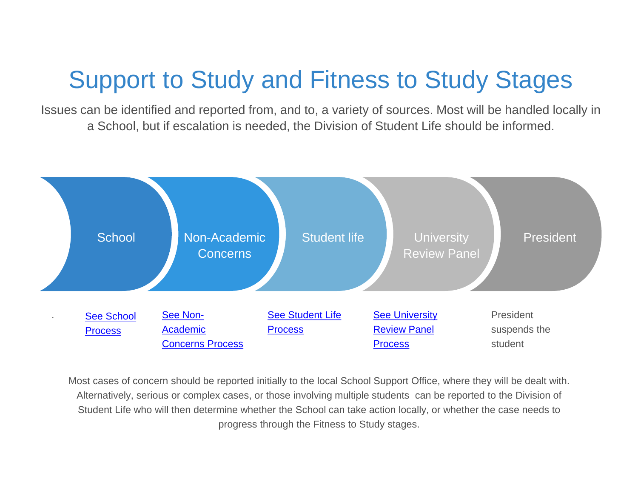# Support to Study and Fitness to Study Stages

Issues can be identified and reported from, and to, a variety of sources. Most will be handled locally in a School, but if escalation is needed, the Division of Student Life should be informed.



Most cases of concern should be reported initially to the local School Support Office, where they will be dealt with. Alternatively, serious or complex cases, or those involving multiple students can be reported to the Division of Student Life who will then determine whether the School can take action locally, or whether the case needs to progress through the Fitness to Study stages.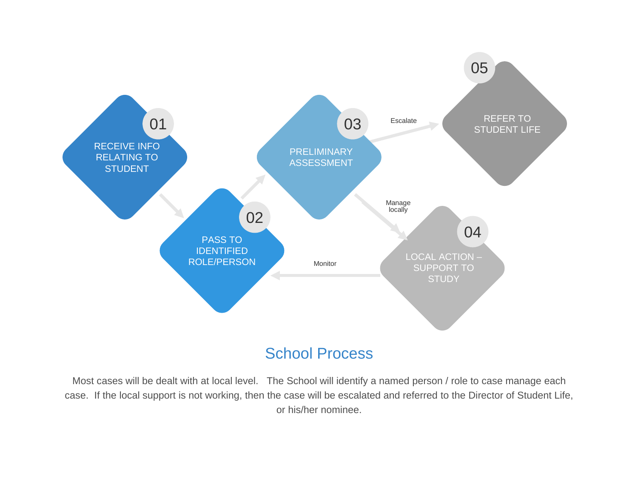<span id="page-1-0"></span>

### School Process

Most cases will be dealt with at local level. The School will identify a named person / role to case manage each case. If the local support is not working, then the case will be escalated and referred to the Director of Student Life, or his/her nominee.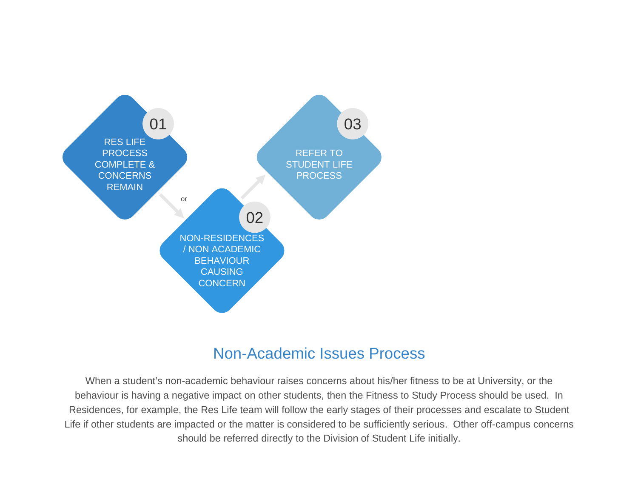<span id="page-2-0"></span>

#### Non-Academic Issues Process

When a student's non-academic behaviour raises concerns about his/her fitness to be at University, or the behaviour is having a negative impact on other students, then the Fitness to Study Process should be used. In Residences, for example, the Res Life team will follow the early stages of their processes and escalate to Student Life if other students are impacted or the matter is considered to be sufficiently serious. Other off-campus concerns should be referred directly to the Division of Student Life initially.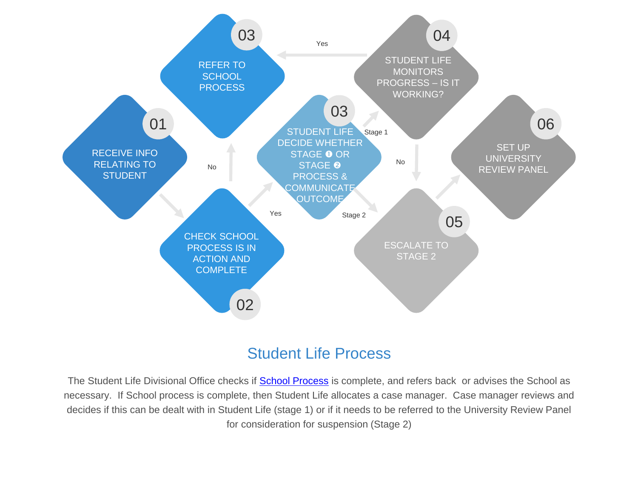<span id="page-3-0"></span>

### Student Life Process

The Student Life Divisional Office checks if **[School Process](#page-1-0)** is complete, and refers back or advises the School as necessary. If School process is complete, then Student Life allocates a case manager. Case manager reviews and decides if this can be dealt with in Student Life (stage 1) or if it needs to be referred to the University Review Panel for consideration for suspension (Stage 2)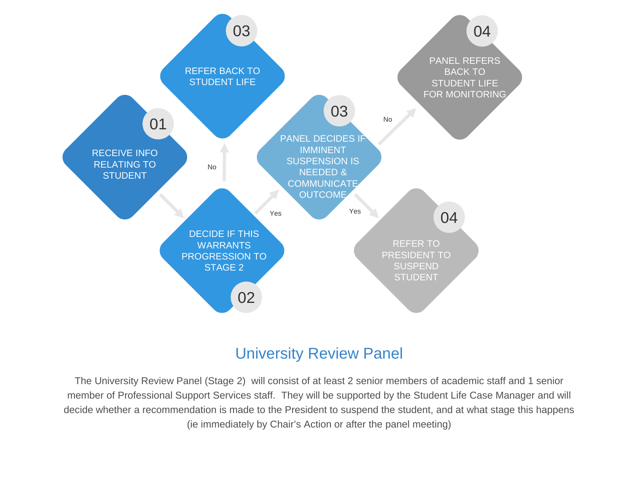<span id="page-4-0"></span>

#### University Review Panel

The University Review Panel (Stage 2) will consist of at least 2 senior members of academic staff and 1 senior member of Professional Support Services staff. They will be supported by the Student Life Case Manager and will decide whether a recommendation is made to the President to suspend the student, and at what stage this happens (ie immediately by Chair's Action or after the panel meeting)